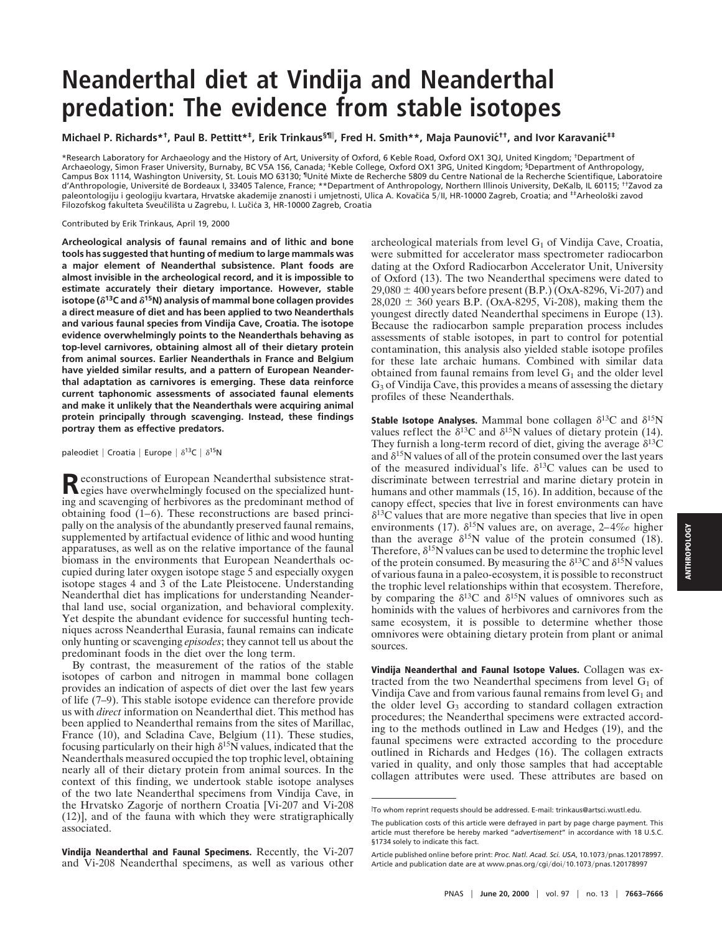## **Neanderthal diet at Vindija and Neanderthal predation: The evidence from stable isotopes**

Michael P. Richards\*†, Paul B. Pettitt\*‡, Erik Trinkaus<sup>§¶∥</sup>, Fred H. Smith\*\*, Maja Paunovi憆, and Ivor Karavanić<sup>‡‡</sup>

\*Research Laboratory for Archaeology and the History of Art, University of Oxford, 6 Keble Road, Oxford OX1 3QJ, United Kingdom; †Department of Archaeology, Simon Fraser University, Burnaby, BC V5A 156, Canada; <sup>‡</sup>Keble College, Oxford OX1 3PG, United Kingdom; <sup>§</sup>Department of Anthropology, Campus Box 1114, Washington University, St. Louis MO 63130; <sup>1</sup>Unité Mixte de Recherche 5809 du Centre National de la Recherche Scientifique, Laboratoire d'Anthropologie, Université de Bordeaux I, 33405 Talence, France; \*\*Department of Anthropology, Northern Illinois University, DeKalb, IL 60115; <sup>††</sup>Zavod za paleontologiju i geologiju kvartara, Hrvatske akademije znanosti i umjetnosti, Ulica A. Kovačića 5/II, HR-10000 Zagreb, Croatia; and #Arheološki zavod Filozofskog fakulteta Sveučilišta u Zagrebu, I. Lučića 3, HR-10000 Zagreb, Croatia

Contributed by Erik Trinkaus, April 19, 2000

**Archeological analysis of faunal remains and of lithic and bone tools has suggested that hunting of medium to large mammals was a major element of Neanderthal subsistence. Plant foods are almost invisible in the archeological record, and it is impossible to estimate accurately their dietary importance. However, stable** isotope ( $\delta$ <sup>13</sup>C and  $\delta$ <sup>15</sup>N) analysis of mammal bone collagen provides **a direct measure of diet and has been applied to two Neanderthals and various faunal species from Vindija Cave, Croatia. The isotope evidence overwhelmingly points to the Neanderthals behaving as top-level carnivores, obtaining almost all of their dietary protein from animal sources. Earlier Neanderthals in France and Belgium have yielded similar results, and a pattern of European Neanderthal adaptation as carnivores is emerging. These data reinforce current taphonomic assessments of associated faunal elements and make it unlikely that the Neanderthals were acquiring animal protein principally through scavenging. Instead, these findings portray them as effective predators.**

paleodiet | Croatia | Europe |  $\delta^{13}C$  |  $\delta^{15}N$ 

Reconstructions of European Neanderthal subsistence strat-<br>egies have overwhelmingly focused on the specialized hunting and scavenging of herbivores as the predominant method of obtaining food (1–6). These reconstructions are based principally on the analysis of the abundantly preserved faunal remains, supplemented by artifactual evidence of lithic and wood hunting apparatuses, as well as on the relative importance of the faunal biomass in the environments that European Neanderthals occupied during later oxygen isotope stage 5 and especially oxygen isotope stages 4 and 3 of the Late Pleistocene. Understanding Neanderthal diet has implications for understanding Neanderthal land use, social organization, and behavioral complexity. Yet despite the abundant evidence for successful hunting techniques across Neanderthal Eurasia, faunal remains can indicate only hunting or scavenging *episodes*; they cannot tell us about the predominant foods in the diet over the long term.

By contrast, the measurement of the ratios of the stable isotopes of carbon and nitrogen in mammal bone collagen provides an indication of aspects of diet over the last few years of life (7–9). This stable isotope evidence can therefore provide us with *direct* information on Neanderthal diet. This method has been applied to Neanderthal remains from the sites of Marillac, France (10), and Scladina Cave, Belgium (11). These studies, focusing particularly on their high  $\delta^{15}$ N values, indicated that the Neanderthals measured occupied the top trophic level, obtaining nearly all of their dietary protein from animal sources. In the context of this finding, we undertook stable isotope analyses of the two late Neanderthal specimens from Vindija Cave, in the Hrvatsko Zagorje of northern Croatia [Vi-207 and Vi-208 (12)], and of the fauna with which they were stratigraphically associated.

**Vindija Neanderthal and Faunal Specimens.** Recently, the Vi-207 and Vi-208 Neanderthal specimens, as well as various other archeological materials from level  $G_1$  of Vindija Cave, Croatia, were submitted for accelerator mass spectrometer radiocarbon dating at the Oxford Radiocarbon Accelerator Unit, University of Oxford (13). The two Neanderthal specimens were dated to  $29,080 \pm 400$  years before present (B.P.) (OxA-8296, Vi-207) and  $28,020 \pm 360$  years B.P. (OxA-8295, Vi-208), making them the youngest directly dated Neanderthal specimens in Europe (13). Because the radiocarbon sample preparation process includes assessments of stable isotopes, in part to control for potential contamination, this analysis also yielded stable isotope profiles for these late archaic humans. Combined with similar data obtained from faunal remains from level  $G_1$  and the older level G<sub>3</sub> of Vindija Cave, this provides a means of assessing the dietary profiles of these Neanderthals.

**Stable Isotope Analyses.** Mammal bone collagen  $\delta^{13}C$  and  $\delta^{15}N$ values reflect the  $\delta^{13}$ C and  $\delta^{15}$ N values of dietary protein (14). They furnish a long-term record of diet, giving the average  $\delta^{13}$ C and  $\delta^{15}N$  values of all of the protein consumed over the last years of the measured individual's life.  $\delta^{13}$ C values can be used to discriminate between terrestrial and marine dietary protein in humans and other mammals (15, 16). In addition, because of the canopy effect, species that live in forest environments can have  $\delta^{13}$ C values that are more negative than species that live in open environments (17).  $\delta^{15}N$  values are, on average, 2–4‰ higher than the average  $\delta^{15}N$  value of the protein consumed (18). Therefore,  $\delta^{15}N$  values can be used to determine the trophic level of the protein consumed. By measuring the  $\delta^{13}$ C and  $\delta^{15}$ N values of various fauna in a paleo-ecosystem, it is possible to reconstruct the trophic level relationships within that ecosystem. Therefore, by comparing the  $\delta^{13}$ C and  $\delta^{15}$ N values of omnivores such as hominids with the values of herbivores and carnivores from the same ecosystem, it is possible to determine whether those omnivores were obtaining dietary protein from plant or animal sources.

**Vindija Neanderthal and Faunal Isotope Values.** Collagen was extracted from the two Neanderthal specimens from level  $G_1$  of Vindija Cave and from various faunal remains from level  $G_1$  and the older level  $G_3$  according to standard collagen extraction procedures; the Neanderthal specimens were extracted according to the methods outlined in Law and Hedges (19), and the faunal specimens were extracted according to the procedure outlined in Richards and Hedges (16). The collagen extracts varied in quality, and only those samples that had acceptable collagen attributes were used. These attributes are based on

i To whom reprint requests should be addressed. E-mail: trinkaus@artsci.wustl.edu.

The publication costs of this article were defrayed in part by page charge payment. This article must therefore be hereby marked "*advertisement*" in accordance with 18 U.S.C. §1734 solely to indicate this fact.

Article published online before print: Proc. Natl. Acad. Sci. USA, 10.1073/pnas.120178997. Article and publication date are at www.pnas.org/cgi/doi/10.1073/pnas.120178997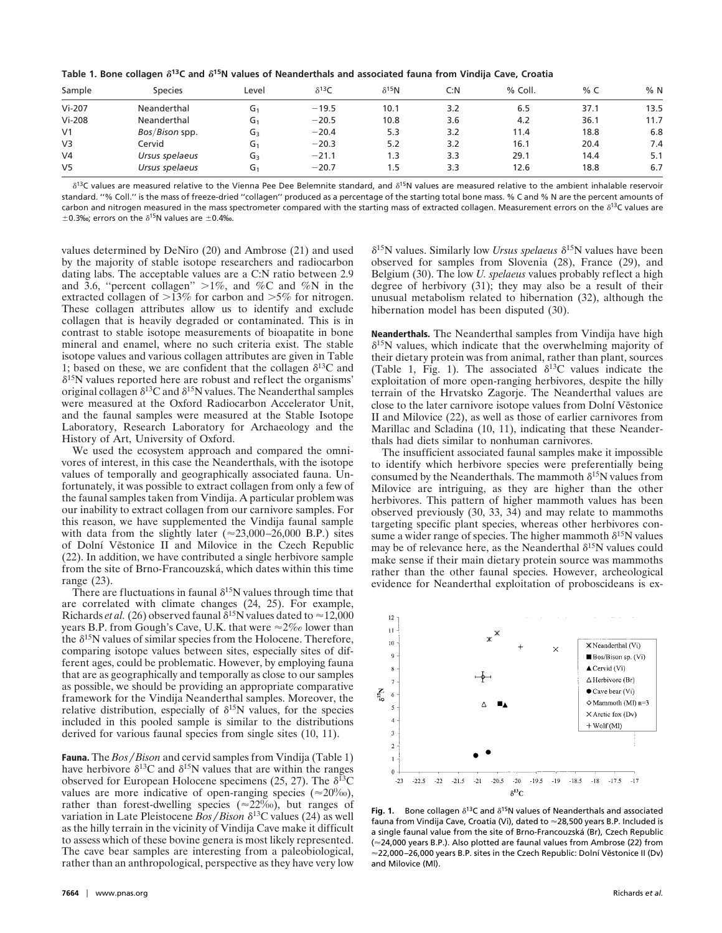Table 1. Bone collagen  $\delta^{13}$ C and  $\delta^{15}$ N values of Neanderthals and associated fauna from Vindija Cave, Croatia

| Sample         | <b>Species</b> | Level          | $\delta^{13}C$ | $\delta^{15}$ N | C: N | % Coll. | % $C$ | %N   |
|----------------|----------------|----------------|----------------|-----------------|------|---------|-------|------|
| $Vi-207$       | Neanderthal    | G1             | $-19.5$        | 10.1            | 3.2  | 6.5     | 37.1  | 13.5 |
| $Vi-208$       | Neanderthal    | G <sub>1</sub> | $-20.5$        | 10.8            | 3.6  | 4.2     | 36.1  | 11.7 |
| V <sub>1</sub> | Bos/Bison spp. | $G_3$          | $-20.4$        | 5.3             | 3.2  | 11.4    | 18.8  | 6.8  |
| V <sub>3</sub> | Cervid         | G1             | $-20.3$        | 5.2             | 3.2  | 16.1    | 20.4  | 7.4  |
| V <sub>4</sub> | Ursus spelaeus | $G_3$          | $-21.1$        | 1.3             | 3.3  | 29.1    | 14.4  | 5.1  |
| V <sub>5</sub> | Ursus spelaeus | G <sub>1</sub> | $-20.7$        | 1.5             | 3.3  | 12.6    | 18.8  | 6.7  |

 $\delta^{13}$ C values are measured relative to the Vienna Pee Dee Belemnite standard, and  $\delta^{15}$ N values are measured relative to the ambient inhalable reservoir standard. ''% Coll.'' is the mass of freeze-dried ''collagen'' produced as a percentage of the starting total bone mass. % C and % N are the percent amounts of carbon and nitrogen measured in the mass spectrometer compared with the starting mass of extracted collagen. Measurement errors on the  $\delta^{13}$ C values are  $\pm$ 0.3‰; errors on the  $\delta$ <sup>15</sup>N values are  $\pm$ 0.4‰.

values determined by DeNiro (20) and Ambrose (21) and used by the majority of stable isotope researchers and radiocarbon dating labs. The acceptable values are a C:N ratio between 2.9 and 3.6, "percent collagen"  $>1\%$ , and %C and %N in the extracted collagen of  $>13\%$  for carbon and  $>5\%$  for nitrogen. These collagen attributes allow us to identify and exclude collagen that is heavily degraded or contaminated. This is in contrast to stable isotope measurements of bioapatite in bone mineral and enamel, where no such criteria exist. The stable isotope values and various collagen attributes are given in Table 1; based on these, we are confident that the collagen  $\delta^{13}C$  and  $\delta^{15}$ N values reported here are robust and reflect the organisms' original collagen  $\delta^{13}$ C and  $\delta^{15}$ N values. The Neanderthal samples were measured at the Oxford Radiocarbon Accelerator Unit, and the faunal samples were measured at the Stable Isotope Laboratory, Research Laboratory for Archaeology and the History of Art, University of Oxford.

We used the ecosystem approach and compared the omnivores of interest, in this case the Neanderthals, with the isotope values of temporally and geographically associated fauna. Unfortunately, it was possible to extract collagen from only a few of the faunal samples taken from Vindija. A particular problem was our inability to extract collagen from our carnivore samples. For this reason, we have supplemented the Vindija faunal sample with data from the slightly later ( $\approx$ 23,000–26,000 B.P.) sites of Dolní Věstonice II and Milovice in the Czech Republic (22). In addition, we have contributed a single herbivore sample from the site of Brno-Francouzska´, which dates within this time range (23).

There are fluctuations in faunal  $\delta^{15}N$  values through time that are correlated with climate changes (24, 25). For example, Richards *et al.* (26) observed faunal  $\delta^{15}N$  values dated to  $\approx$  12,000 years B.P. from Gough's Cave, U.K. that were  $\approx 2\%$  lower than the  $\delta^{15}N$  values of similar species from the Holocene. Therefore, comparing isotope values between sites, especially sites of different ages, could be problematic. However, by employing fauna that are as geographically and temporally as close to our samples as possible, we should be providing an appropriate comparative framework for the Vindija Neanderthal samples. Moreover, the relative distribution, especially of  $\delta^{15}N$  values, for the species included in this pooled sample is similar to the distributions derived for various faunal species from single sites (10, 11).

**Fauna.** The *Bos* / *Bison* and cervid samples from Vindija (Table 1) have herbivore  $\delta^{13}$ C and  $\delta^{15}$ N values that are within the ranges observed for European Holocene specimens (25, 27). The  $\delta^{13}C$ values are more indicative of open-ranging species ( $\approx$ 20%o), rather than forest-dwelling species ( $\approx$ 22%), but ranges of variation in Late Pleistocene *Bos*/*Bison*  $\delta^{13}$ C values (24) as well as the hilly terrain in the vicinity of Vindija Cave make it difficult to assess which of these bovine genera is most likely represented. The cave bear samples are interesting from a paleobiological, rather than an anthropological, perspective as they have very low  $\delta^{15}$ N values. Similarly low *Ursus spelaeus*  $\delta^{15}$ N values have been observed for samples from Slovenia (28), France (29), and Belgium (30). The low *U. spelaeus* values probably reflect a high degree of herbivory (31); they may also be a result of their unusual metabolism related to hibernation (32), although the hibernation model has been disputed (30).

**Neanderthals.** The Neanderthal samples from Vindija have high  $\delta^{15}$ N values, which indicate that the overwhelming majority of their dietary protein was from animal, rather than plant, sources (Table 1, Fig. 1). The associated  $\delta^{13}$ C values indicate the exploitation of more open-ranging herbivores, despite the hilly terrain of the Hrvatsko Zagorje. The Neanderthal values are close to the later carnivore isotope values from Dolní Věstonice II and Milovice (22), as well as those of earlier carnivores from Marillac and Scladina (10, 11), indicating that these Neanderthals had diets similar to nonhuman carnivores.

The insufficient associated faunal samples make it impossible to identify which herbivore species were preferentially being consumed by the Neanderthals. The mammoth  $\delta^{15}N$  values from Milovice are intriguing, as they are higher than the other herbivores. This pattern of higher mammoth values has been observed previously (30, 33, 34) and may relate to mammoths targeting specific plant species, whereas other herbivores consume a wider range of species. The higher mammoth  $\delta^{15}N$  values may be of relevance here, as the Neanderthal  $\delta^{15}N$  values could make sense if their main dietary protein source was mammoths rather than the other faunal species. However, archeological evidence for Neanderthal exploitation of proboscideans is ex-



**Fig. 1.** Bone collagen  $\delta^{13}$ C and  $\delta^{15}$ N values of Neanderthals and associated fauna from Vindija Cave, Croatia (Vi), dated to ≈28,500 years B.P. Included is a single faunal value from the site of Brno-Francouzska´ (Br), Czech Republic (≈24,000 years B.P.). Also plotted are faunal values from Ambrose (22) from  $\approx$  22,000–26,000 years B.P. sites in the Czech Republic: Dolní Věstonice II (Dv) and Milovice (Ml).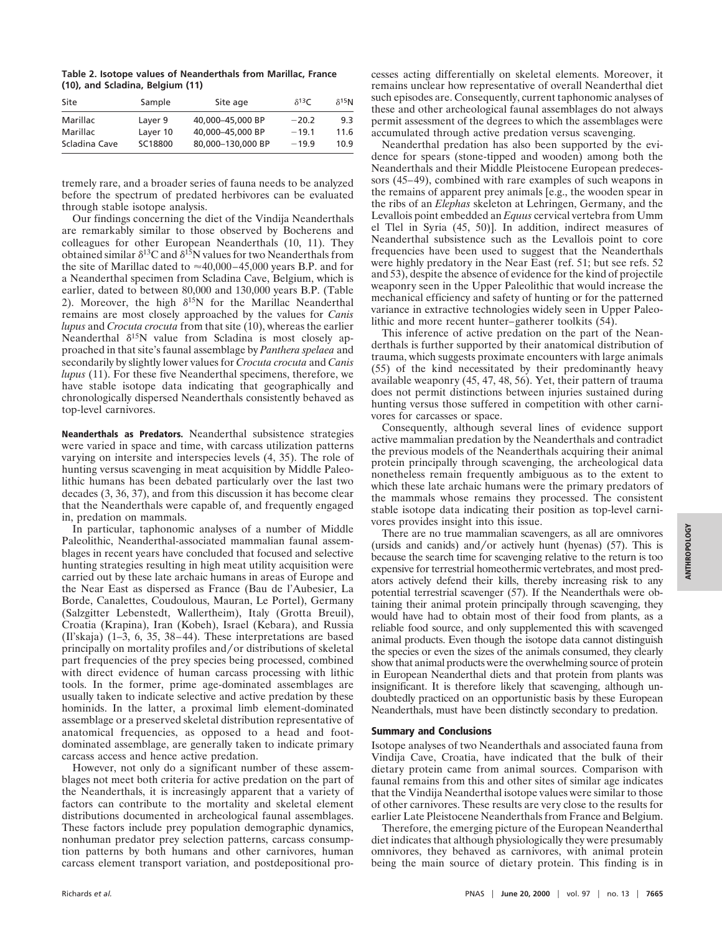**Table 2. Isotope values of Neanderthals from Marillac, France (10), and Scladina, Belgium (11)**

| Site          | Sample   | Site age          | $\delta^{13}C$ | $\delta^{15}$ N |
|---------------|----------|-------------------|----------------|-----------------|
| Marillac      | Layer 9  | 40.000-45.000 BP  | $-20.2$        | 9.3             |
| Marillac      | Layer 10 | 40.000-45.000 BP  | $-19.1$        | 11.6            |
| Scladina Cave | SC18800  | 80.000-130.000 BP | $-19.9$        | 10.9            |

tremely rare, and a broader series of fauna needs to be analyzed before the spectrum of predated herbivores can be evaluated through stable isotope analysis.

Our findings concerning the diet of the Vindija Neanderthals are remarkably similar to those observed by Bocherens and colleagues for other European Neanderthals (10, 11). They obtained similar  $\delta^{13}$ C and  $\delta^{15}$ N values for two Neanderthals from the site of Marillac dated to  $\approx 40,000-45,000$  years B.P. and for a Neanderthal specimen from Scladina Cave, Belgium, which is earlier, dated to between 80,000 and 130,000 years B.P. (Table 2). Moreover, the high  $\delta^{15}N$  for the Marillac Neanderthal remains are most closely approached by the values for *Canis lupus* and *Crocuta crocuta* from that site (10), whereas the earlier Neanderthal  $\delta^{15}N$  value from Scladina is most closely approached in that site's faunal assemblage by *Panthera spelaea* and secondarily by slightly lower values for *Crocuta crocuta* and *Canis lupus* (11). For these five Neanderthal specimens, therefore, we have stable isotope data indicating that geographically and chronologically dispersed Neanderthals consistently behaved as top-level carnivores.

**Neanderthals as Predators.** Neanderthal subsistence strategies were varied in space and time, with carcass utilization patterns varying on intersite and interspecies levels (4, 35). The role of hunting versus scavenging in meat acquisition by Middle Paleolithic humans has been debated particularly over the last two decades (3, 36, 37), and from this discussion it has become clear that the Neanderthals were capable of, and frequently engaged in, predation on mammals.

In particular, taphonomic analyses of a number of Middle Paleolithic, Neanderthal-associated mammalian faunal assemblages in recent years have concluded that focused and selective hunting strategies resulting in high meat utility acquisition were carried out by these late archaic humans in areas of Europe and the Near East as dispersed as France (Bau de l'Aubesier, La Borde, Canalettes, Coudoulous, Mauran, Le Portel), Germany (Salzgitter Lebenstedt, Wallertheim), Italy (Grotta Breuil), Croatia (Krapina), Iran (Kobeh), Israel (Kebara), and Russia (Il'skaja) (1–3, 6, 35, 38–44). These interpretations are based principally on mortality profiles and/or distributions of skeletal part frequencies of the prey species being processed, combined with direct evidence of human carcass processing with lithic tools. In the former, prime age-dominated assemblages are usually taken to indicate selective and active predation by these hominids. In the latter, a proximal limb element-dominated assemblage or a preserved skeletal distribution representative of anatomical frequencies, as opposed to a head and footdominated assemblage, are generally taken to indicate primary carcass access and hence active predation.

However, not only do a significant number of these assemblages not meet both criteria for active predation on the part of the Neanderthals, it is increasingly apparent that a variety of factors can contribute to the mortality and skeletal element distributions documented in archeological faunal assemblages. These factors include prey population demographic dynamics, nonhuman predator prey selection patterns, carcass consumption patterns by both humans and other carnivores, human carcass element transport variation, and postdepositional processes acting differentially on skeletal elements. Moreover, it remains unclear how representative of overall Neanderthal diet such episodes are. Consequently, current taphonomic analyses of these and other archeological faunal assemblages do not always permit assessment of the degrees to which the assemblages were accumulated through active predation versus scavenging.

Neanderthal predation has also been supported by the evidence for spears (stone-tipped and wooden) among both the Neanderthals and their Middle Pleistocene European predecessors (45–49), combined with rare examples of such weapons in the remains of apparent prey animals [e.g., the wooden spear in the ribs of an *Elephas* skeleton at Lehringen, Germany, and the Levallois point embedded an *Equus* cervical vertebra from Umm el Tlel in Syria (45, 50)]. In addition, indirect measures of Neanderthal subsistence such as the Levallois point to core frequencies have been used to suggest that the Neanderthals were highly predatory in the Near East (ref. 51; but see refs. 52 and 53), despite the absence of evidence for the kind of projectile weaponry seen in the Upper Paleolithic that would increase the mechanical efficiency and safety of hunting or for the patterned variance in extractive technologies widely seen in Upper Paleolithic and more recent hunter–gatherer toolkits (54).

This inference of active predation on the part of the Neanderthals is further supported by their anatomical distribution of trauma, which suggests proximate encounters with large animals (55) of the kind necessitated by their predominantly heavy available weaponry (45, 47, 48, 56). Yet, their pattern of trauma does not permit distinctions between injuries sustained during hunting versus those suffered in competition with other carnivores for carcasses or space.

Consequently, although several lines of evidence support active mammalian predation by the Neanderthals and contradict the previous models of the Neanderthals acquiring their animal protein principally through scavenging, the archeological data nonetheless remain frequently ambiguous as to the extent to which these late archaic humans were the primary predators of the mammals whose remains they processed. The consistent stable isotope data indicating their position as top-level carnivores provides insight into this issue.

There are no true mammalian scavengers, as all are omnivores (ursids and canids) and/or actively hunt (hyenas)  $(57)$ . This is because the search time for scavenging relative to the return is too expensive for terrestrial homeothermic vertebrates, and most predators actively defend their kills, thereby increasing risk to any potential terrestrial scavenger (57). If the Neanderthals were obtaining their animal protein principally through scavenging, they would have had to obtain most of their food from plants, as a reliable food source, and only supplemented this with scavenged animal products. Even though the isotope data cannot distinguish the species or even the sizes of the animals consumed, they clearly show that animal products were the overwhelming source of protein in European Neanderthal diets and that protein from plants was insignificant. It is therefore likely that scavenging, although undoubtedly practiced on an opportunistic basis by these European Neanderthals, must have been distinctly secondary to predation.

## **Summary and Conclusions**

Isotope analyses of two Neanderthals and associated fauna from Vindija Cave, Croatia, have indicated that the bulk of their dietary protein came from animal sources. Comparison with faunal remains from this and other sites of similar age indicates that the Vindija Neanderthal isotope values were similar to those of other carnivores. These results are very close to the results for earlier Late Pleistocene Neanderthals from France and Belgium.

Therefore, the emerging picture of the European Neanderthal diet indicates that although physiologically they were presumably omnivores, they behaved as carnivores, with animal protein being the main source of dietary protein. This finding is in